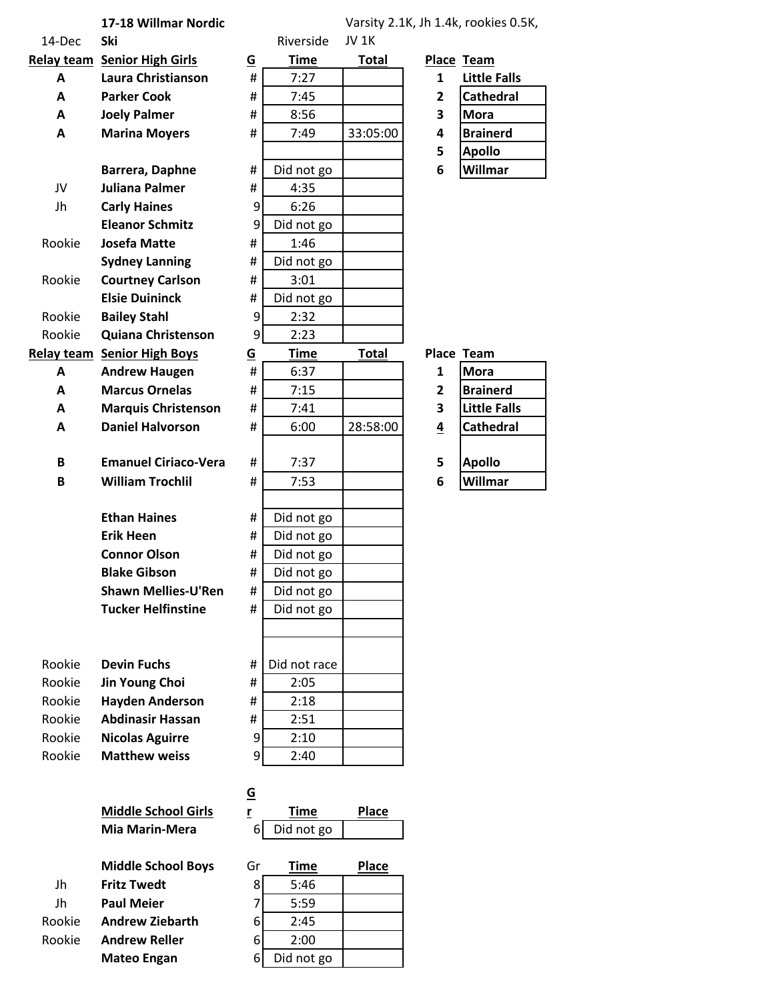## **17-18 Willmar Nordic**

## Varsity 2.1K, Jh 1.4k, rookies 0.5K,

| 14-Dec | Ski                                 |                          | Riverside    | <b>JV 1K</b> |                         |                     |
|--------|-------------------------------------|--------------------------|--------------|--------------|-------------------------|---------------------|
|        | <b>Relay team Senior High Girls</b> | $\underline{\mathsf{G}}$ | <b>Time</b>  | <b>Total</b> |                         | Place Team          |
| A      | Laura Christianson                  | #                        | 7:27         |              | 1                       | <b>Little Falls</b> |
| A      | <b>Parker Cook</b>                  | #                        | 7:45         |              | $\overline{2}$          | Cathedral           |
| A      | <b>Joely Palmer</b>                 | #                        | 8:56         |              | 3                       | <b>Mora</b>         |
| Α      | <b>Marina Moyers</b>                | #                        | 7:49         | 33:05:00     | 4                       | <b>Brainerd</b>     |
|        |                                     |                          |              |              | 5                       | <b>Apollo</b>       |
|        | Barrera, Daphne                     | #                        | Did not go   |              | 6                       | Willmar             |
| JV     | <b>Juliana Palmer</b>               | #                        | 4:35         |              |                         |                     |
| Jh     | <b>Carly Haines</b>                 | 9                        | 6:26         |              |                         |                     |
|        | <b>Eleanor Schmitz</b>              | 9                        | Did not go   |              |                         |                     |
| Rookie | <b>Josefa Matte</b>                 | #                        | 1:46         |              |                         |                     |
|        | <b>Sydney Lanning</b>               | #                        | Did not go   |              |                         |                     |
| Rookie | <b>Courtney Carlson</b>             | #                        | 3:01         |              |                         |                     |
|        | <b>Elsie Duininck</b>               | #                        | Did not go   |              |                         |                     |
| Rookie | <b>Bailey Stahl</b>                 | 9                        | 2:32         |              |                         |                     |
| Rookie | <b>Quiana Christenson</b>           | 9                        | 2:23         |              |                         |                     |
|        | <b>Relay team Senior High Boys</b>  | <u>G</u>                 | <b>Time</b>  | <b>Total</b> | <b>Place Team</b>       |                     |
| Α      | <b>Andrew Haugen</b>                | #                        | 6:37         |              | $\mathbf{1}$            | <b>Mora</b>         |
| A      | <b>Marcus Ornelas</b>               | #                        | 7:15         |              | $\overline{\mathbf{2}}$ | <b>Brainerd</b>     |
| A      | <b>Marquis Christenson</b>          | #                        | 7:41         |              | 3                       | <b>Little Falls</b> |
| A      | <b>Daniel Halvorson</b>             | #                        | 6:00         | 28:58:00     | $\overline{4}$          | <b>Cathedral</b>    |
|        |                                     |                          |              |              |                         |                     |
| B      | <b>Emanuel Ciriaco-Vera</b>         | #                        | 7:37         |              | 5                       | <b>Apollo</b>       |
| B      | <b>William Trochlil</b>             | #                        | 7:53         |              | 6                       | Willmar             |
|        |                                     |                          |              |              |                         |                     |
|        | <b>Ethan Haines</b>                 | #                        | Did not go   |              |                         |                     |
|        | <b>Erik Heen</b>                    | #                        | Did not go   |              |                         |                     |
|        | <b>Connor Olson</b>                 | #                        | Did not go   |              |                         |                     |
|        | <b>Blake Gibson</b>                 | #                        | Did not go   |              |                         |                     |
|        | <b>Shawn Mellies-U'Ren</b>          | #                        | Did not go   |              |                         |                     |
|        | <b>Tucker Helfinstine</b>           | #                        | Did not go   |              |                         |                     |
|        |                                     |                          |              |              |                         |                     |
|        |                                     |                          |              |              |                         |                     |
| Rookie | <b>Devin Fuchs</b>                  | Ħ                        | Did not race |              |                         |                     |
| Rookie | Jin Young Choi                      | #                        | 2:05         |              |                         |                     |
| Rookie | <b>Hayden Anderson</b>              | #                        | 2:18         |              |                         |                     |
| Rookie | <b>Abdinasir Hassan</b>             | #                        | 2:51         |              |                         |                     |
| Rookie | <b>Nicolas Aguirre</b>              | 9                        | 2:10         |              |                         |                     |
| Rookie | <b>Matthew weiss</b>                | 9                        | 2:40         |              |                         |                     |
|        |                                     |                          |              |              |                         |                     |
|        |                                     | <u>G</u>                 |              |              |                         |                     |
|        | <b>Middle School Girls</b>          | r                        | <b>Time</b>  | <b>Place</b> |                         |                     |

**Middle School Girls Mia Marin-Mera** 6 Did not go **Middle School Boys Grade** 

Jh **Fritz Twedt**Jh **Paul Meier**Rookie **Andrew Ziebarth**Rookie **Andrew RellerMateo Engan**

|                         | Time       | Place |
|-------------------------|------------|-------|
| 3                       | 5:46       |       |
| 7                       | 5:59       |       |
| -<br>ว                  | 2:45       |       |
| -<br>ว                  | 2:00       |       |
| $\overline{\mathbf{b}}$ | Did not go |       |

| 1 | Mora                |
|---|---------------------|
| 2 | <b>Brainerd</b>     |
| 3 | <b>Little Falls</b> |
| 4 | <b>Cathedral</b>    |
|   |                     |
| 5 | <b>Apollo</b>       |
|   | Villmar             |